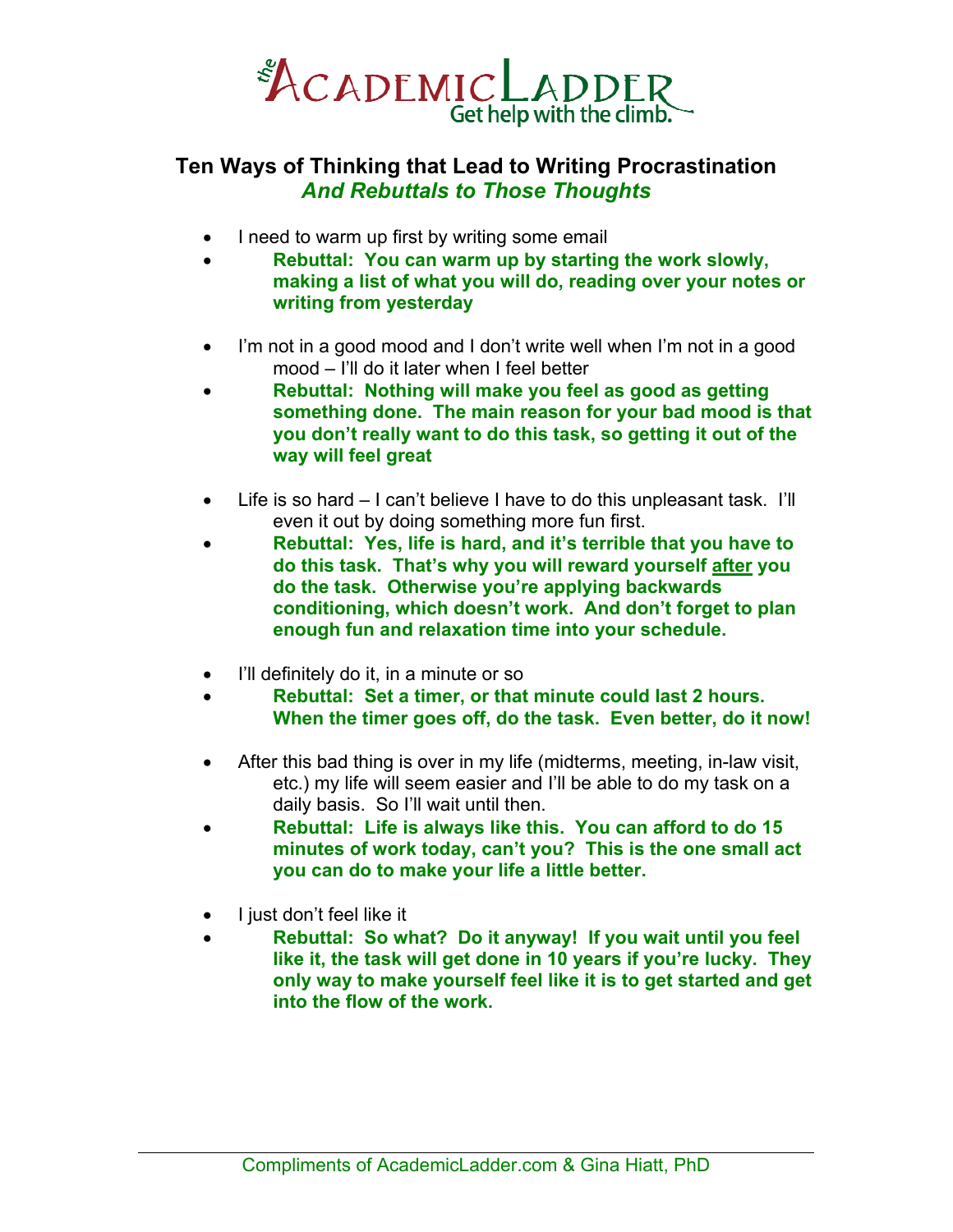

## **Ten Ways of Thinking that Lead to Writing Procrastination**  *And Rebuttals to Those Thoughts*

- I need to warm up first by writing some email
- **Rebuttal: You can warm up by starting the work slowly, making a list of what you will do, reading over your notes or writing from yesterday**
- I'm not in a good mood and I don't write well when I'm not in a good mood – I'll do it later when I feel better
- **Rebuttal: Nothing will make you feel as good as getting something done. The main reason for your bad mood is that you don't really want to do this task, so getting it out of the way will feel great**
- Life is so hard I can't believe I have to do this unpleasant task. I'll even it out by doing something more fun first.
- **Rebuttal: Yes, life is hard, and it's terrible that you have to do this task. That's why you will reward yourself after you do the task. Otherwise you're applying backwards conditioning, which doesn't work. And don't forget to plan enough fun and relaxation time into your schedule.**
- I'll definitely do it, in a minute or so
- **Rebuttal: Set a timer, or that minute could last 2 hours. When the timer goes off, do the task. Even better, do it now!**
- After this bad thing is over in my life (midterms, meeting, in-law visit, etc.) my life will seem easier and I'll be able to do my task on a daily basis. So I'll wait until then.
- **Rebuttal: Life is always like this. You can afford to do 15 minutes of work today, can't you? This is the one small act you can do to make your life a little better.**
- I just don't feel like it
- **Rebuttal: So what? Do it anyway! If you wait until you feel like it, the task will get done in 10 years if you're lucky. They only way to make yourself feel like it is to get started and get into the flow of the work.**